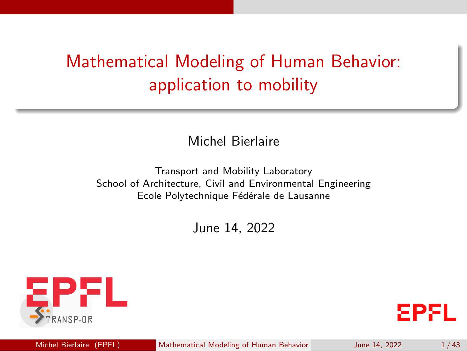# <span id="page-0-0"></span>Mathematical Modeling of Human Behavior: application to mobility

Michel Bierlaire

Transport and Mobility Laboratory School of Architecture, Civil and Environmental Engineering Ecole Polytechnique Fédérale de Lausanne

June 14, 2022



**EPFL** 

Michel Bierlaire (EPFL) [Mathematical Modeling of Human Behavior](#page-42-0) June 14, 2022 1/43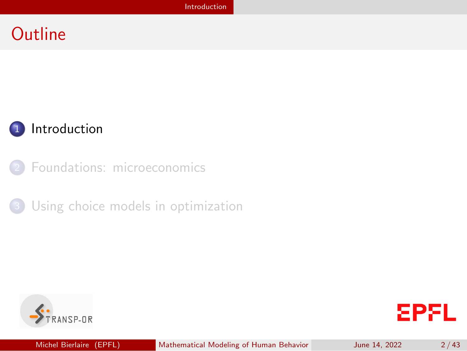### <span id="page-1-0"></span>**Outline**



[Foundations: microeconomics](#page-7-0)





**EPFL**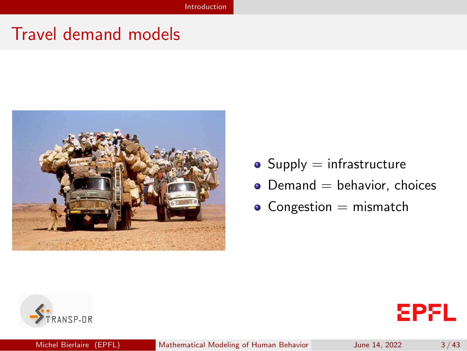### Travel demand models



- $\bullet$  Supply = infrastructure
- $\bullet$  Demand  $=$  behavior, choices
- $\bullet$  Congestion = mismatch



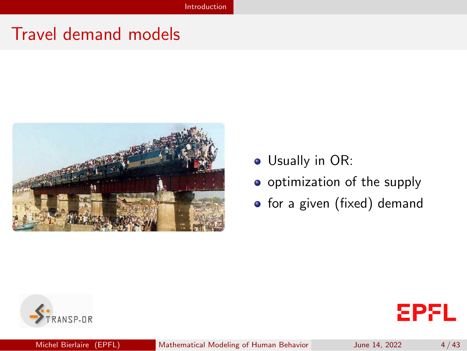### Travel demand models



- Usually in OR:
- o optimization of the supply
- for a given (fixed) demand

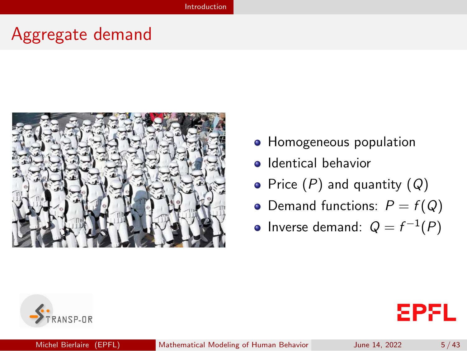### Aggregate demand



- **Homogeneous population**
- Identical behavior
- Price  $(P)$  and quantity  $(Q)$
- Demand functions:  $P = f(Q)$
- Inverse demand:  $Q = f^{-1}(P)$

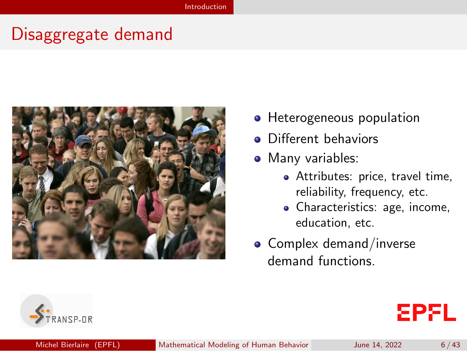### Disaggregate demand



- Heterogeneous population
- **•** Different behaviors
- Many variables:
	- Attributes: price, travel time, reliability, frequency, etc.
	- Characteristics: age, income, education, etc.
- $\bullet$  Complex demand/inverse demand functions.

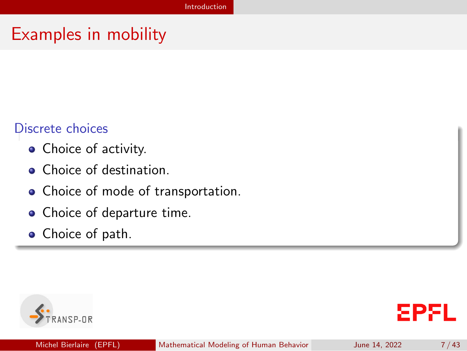### Examples in mobility

#### Discrete choices

- Choice of activity.
- Choice of destination.
- Choice of mode of transportation.
- Choice of departure time.
- Choice of path.



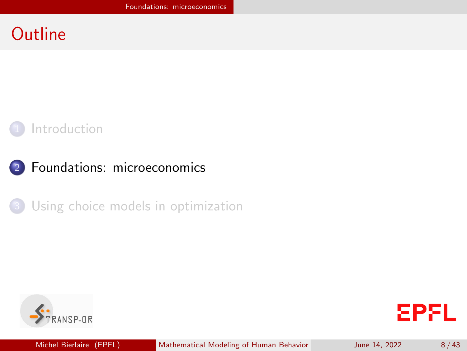### <span id="page-7-0"></span>**Outline**











Michel Bierlaire (EPFL) [Mathematical Modeling of Human Behavior](#page-0-0) June 14, 2022 8/43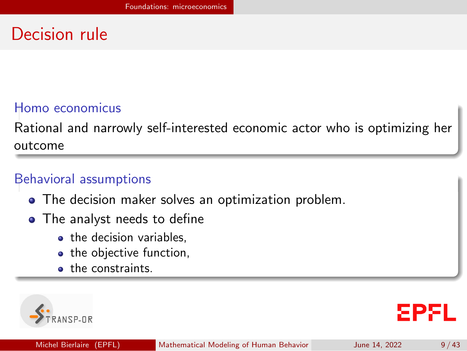## Decision rule

#### Homo economicus

Rational and narrowly self-interested economic actor who is optimizing her outcome

#### Behavioral assumptions

- The decision maker solves an optimization problem.
- The analyst needs to define
	- the decision variables.
	- the objective function,
	- **o** the constraints.

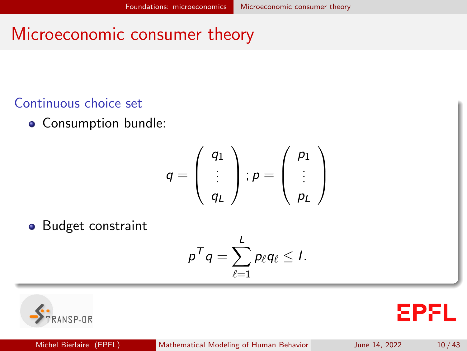### <span id="page-9-0"></span>Microeconomic consumer theory

### Continuous choice set

**o** Consumption bundle:

$$
q = \left(\begin{array}{c} q_1 \\ \vdots \\ q_L \end{array}\right); p = \left(\begin{array}{c} p_1 \\ \vdots \\ p_L \end{array}\right)
$$

• Budget constraint

$$
p^Tq=\sum_{\ell=1}^L p_\ell q_\ell\leq I.
$$



**EPFL**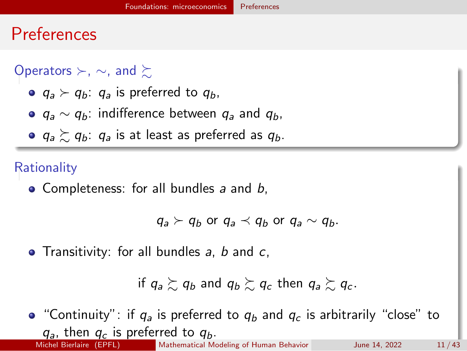### <span id="page-10-0"></span>Preferences

### Operators ≻, ∼, and  $\succeq$

- $q_a \succ q_b$ :  $q_a$  is preferred to  $q_b$ ,
- $q_a \sim q_b$ : indifference between  $q_a$  and  $q_b$ ,
- $q_a \succeq q_b$ :  $q_a$  is at least as preferred as  $q_b$ .

#### **Rationality**

• Completeness: for all bundles  $a$  and  $b$ ,

 $q_a \succ q_b$  or  $q_a \prec q_b$  or  $q_a \sim q_b$ .

• Transitivity: for all bundles  $a, b$  and  $c,$ 

if  $q_a \gtrsim q_b$  and  $q_b \gtrsim q_c$  then  $q_a \gtrsim q_c$ .

• "Continuity": if  $q_a$  is preferred to  $q_b$  and  $q_c$  is arbitrarily "close" to  $q_a$ , then  $q_c$  is preferred to  $q_b$ .<br>Michel Bierlaire (EPFL) [Mathematical Modeling of Human Behavior](#page-0-0) June 14, 2022 11/43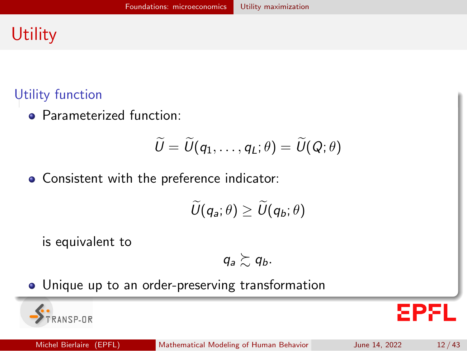# <span id="page-11-0"></span>**Utility**

### Utility function

**• Parameterized function:** 

$$
\widetilde{U}=\widetilde{U}(q_1,\ldots,q_L;\theta)=\widetilde{U}(Q;\theta)
$$

Consistent with the preference indicator:

$$
\widetilde{U}(q_a;\theta) \geq \widetilde{U}(q_b;\theta)
$$

is equivalent to

$$
q_a \succsim q_b.
$$

Unique up to an order-preserving transformation

돈만된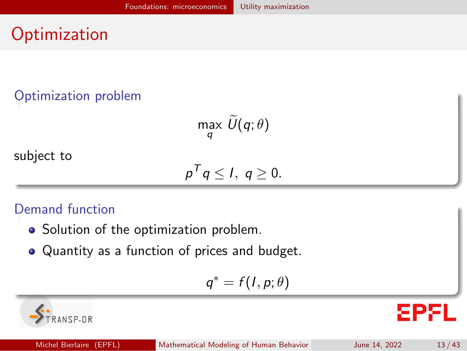# **Optimization**

### Optimization problem

max  $U(q;\theta)$ q

subject to

$$
p^Tq\leq l,\;q\geq 0.
$$

### Demand function

- Solution of the optimization problem.
- Quantity as a function of prices and budget.

$$
q^* = f(I, p; \theta)
$$

 $ANSPLIR$ 

**EPFL**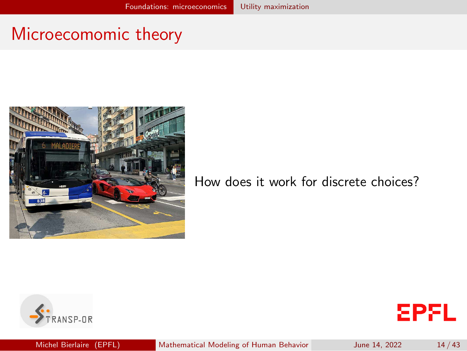### Microecomomic theory



How does it work for discrete choices?





Michel Bierlaire (EPFL) [Mathematical Modeling of Human Behavior](#page-0-0) June 14, 2022 14/43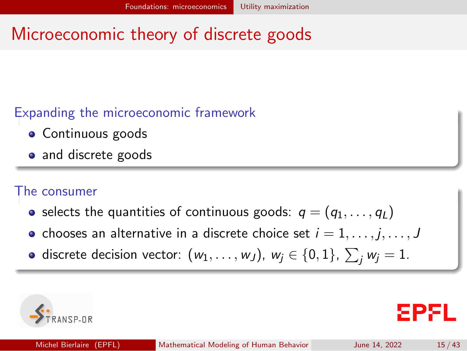# Microeconomic theory of discrete goods

### Expanding the microeconomic framework

- Continuous goods
- and discrete goods

#### The consumer

- selects the quantities of continuous goods:  $q = (q_1, \ldots, q_l)$
- chooses an alternative in a discrete choice set  $i = 1, \ldots, j, \ldots, J$
- discrete decision vector:  $(w_1, \ldots, w_J)$ ,  $w_j \in \{0, 1\}$ ,  $\sum_j w_j = 1$ .

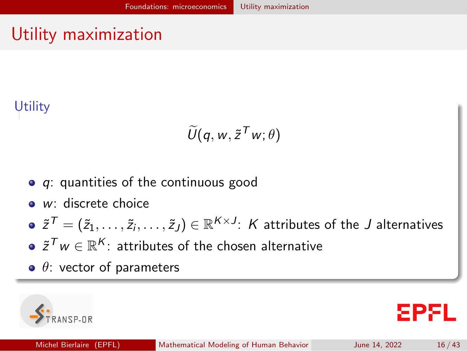# <span id="page-15-0"></span>Utility maximization

### **Utility**

$$
\widetilde{U}(q, w, \widetilde{z}^T w; \theta)
$$

- $\bullet$  q: quantities of the continuous good
- *w*: discrete choice
- $\tilde z^{\mathcal T}=(\tilde z_1,\ldots,\tilde z_i,\ldots,\tilde z_J)\in\mathbb R^{{\sf K}\times J}\!\!:\,$   ${\sf K}$  attributes of the  $J$  alternatives
- $\tilde z^{\mathcal T} w \in \mathbb R^{\mathcal K}$ : attributes of the chosen alternative
- $\bullet$   $\theta$ : vector of parameters

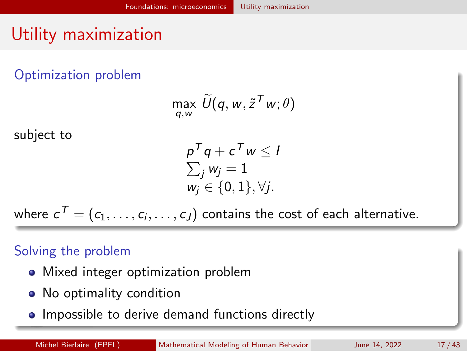# Utility maximization

Optimization problem

$$
\max_{q,w} \widetilde{U}(q,w,\tilde{z}^Tw;\theta)
$$

subject to

$$
p^{T}q + c^{T}w \leq l
$$
  
\n
$$
\sum_{j} w_{j} = 1
$$
  
\n
$$
w_{j} \in \{0, 1\}, \forall j.
$$

where  $\mathbf{\,c}^{\mathcal{T}}=(c_1,\ldots,c_i,\ldots,c_J)$  contains the cost of each alternative.

#### Solving the problem

- Mixed integer optimization problem
- No optimality condition
- Impossible to derive demand functions directly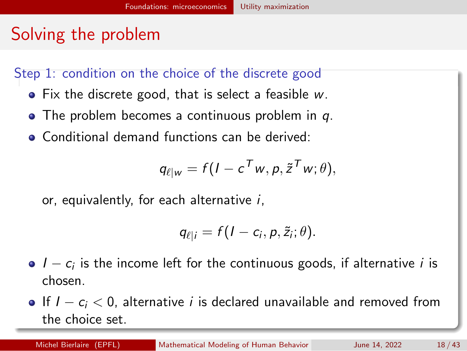# Solving the problem

Step 1: condition on the choice of the discrete good

- Fix the discrete good, that is select a feasible w.
- $\bullet$  The problem becomes a continuous problem in q.
- **Conditional demand functions can be derived:**

$$
q_{\ell|w} = f(I - c^T w, p, \tilde{z}^T w; \theta),
$$

or, equivalently, for each alternative i,

$$
q_{\ell|i}=f(I-c_i,p,\tilde{z}_i;\theta).
$$

- $I c_i$  is the income left for the continuous goods, if alternative  $i$  is chosen.
- If  $I c_i < 0$ , alternative *i* is declared unavailable and removed from the choice set.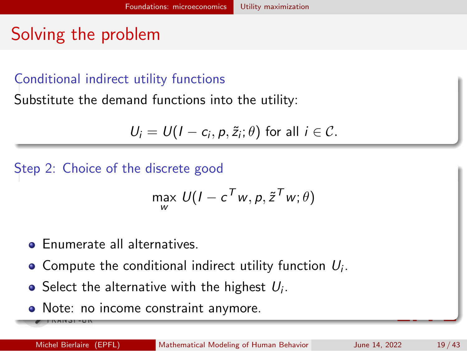# Solving the problem

### Conditional indirect utility functions

Substitute the demand functions into the utility:

$$
U_i = U(I - c_i, p, \tilde{z}_i; \theta) \text{ for all } i \in \mathcal{C}.
$$

Step 2: Choice of the discrete good

$$
\max_{w} U(I - c^T w, p, \tilde{z}^T w; \theta)
$$

- **•** Enumerate all alternatives
- Compute the conditional indirect utility function  $U_i$ .
- Select the alternative with the highest  $U_i.$
- Note: no income constraint anymore.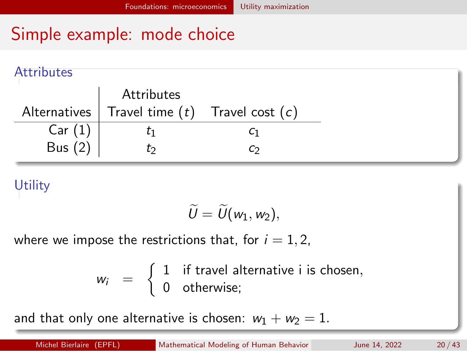#### **Attributes**

|           | Attributes                                         |    |
|-----------|----------------------------------------------------|----|
|           | Alternatives   Travel time $(t)$ Travel cost $(c)$ |    |
| Car(1)    |                                                    |    |
| Bus $(2)$ | Ľ٥                                                 | C۵ |

### **Utility**

$$
\widetilde{U}=\widetilde{U}(w_1,w_2),
$$

where we impose the restrictions that, for  $i = 1, 2$ ,

$$
w_i = \begin{cases} 1 & \text{if travel alternative i is chosen,} \\ 0 & \text{otherwise}; \end{cases}
$$

and that only one alternative is chosen:  $w_1 + w_2 = 1$ .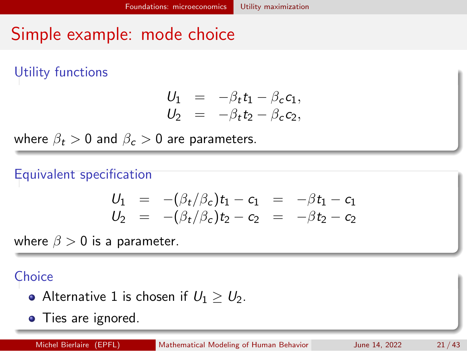Utility functions

$$
\begin{array}{rcl}\nU_1 &=& -\beta_t t_1 - \beta_c c_1, \\
U_2 &=& -\beta_t t_2 - \beta_c c_2,\n\end{array}
$$

where  $\beta_t > 0$  and  $\beta_c > 0$  are parameters.

### Equivalent specification

$$
U_1 = -(\beta_t/\beta_c)t_1 - c_1 = -\beta t_1 - c_1
$$
  
\n
$$
U_2 = -(\beta_t/\beta_c)t_2 - c_2 = -\beta t_2 - c_2
$$

where  $\beta > 0$  is a parameter.

### **Choice**

- Alternative 1 is chosen if  $U_1 \geq U_2$ .
- Ties are ignored.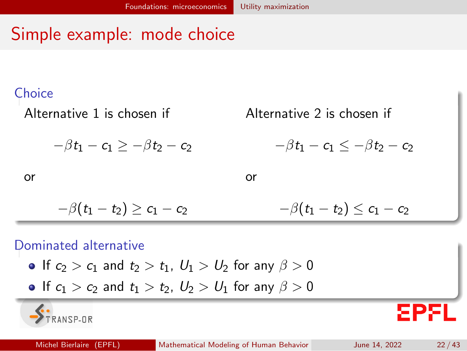#### Choice



#### Dominated alternative

 $R = 974A$ 

- **If**  $c_2 > c_1$  and  $t_2 > t_1$ ,  $U_1 > U_2$  for any  $\beta > 0$
- If  $c_1 > c_2$  and  $t_1 > t_2$ ,  $U_2 > U_1$  for any  $\beta > 0$

GРX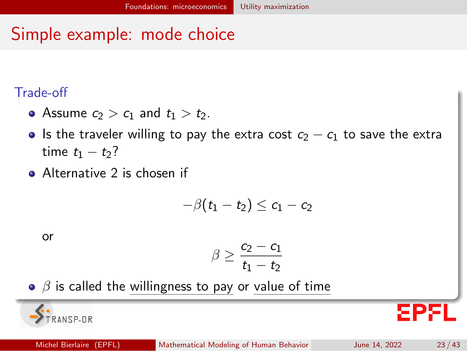#### Trade-off

- Assume  $c_2 > c_1$  and  $t_1 > t_2$ .
- Is the traveler willing to pay the extra cost  $c_2 c_1$  to save the extra time  $t_1 - t_2$ ?
- **•** Alternative 2 is chosen if

$$
-\beta(t_1-t_2)\leq c_1-c_2
$$

or

 $N$   $C$   $P$   $R$ 

$$
\beta \geq \frac{c_2 - c_1}{t_1 - t_2}
$$

 $\bullet$   $\beta$  is called the willingness to pay or value of time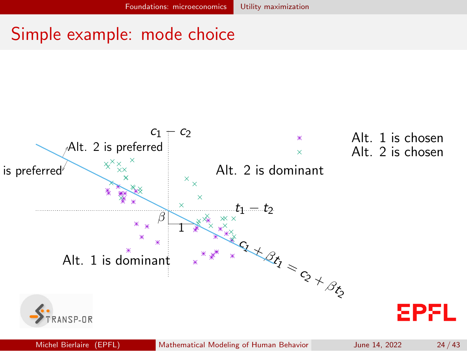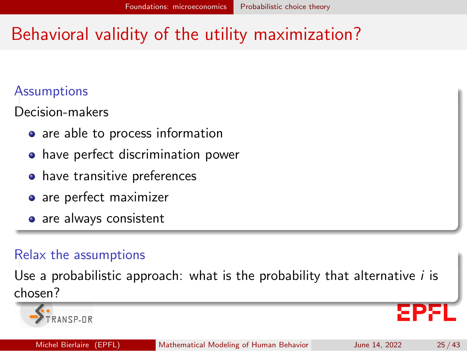# <span id="page-24-0"></span>Behavioral validity of the utility maximization?

### Assumptions

Decision-makers

- are able to process information
- **•** have perfect discrimination power
- have transitive preferences
- are perfect maximizer
- are always consistent

### Relax the assumptions

Use a probabilistic approach: what is the probability that alternative  $i$  is chosen?

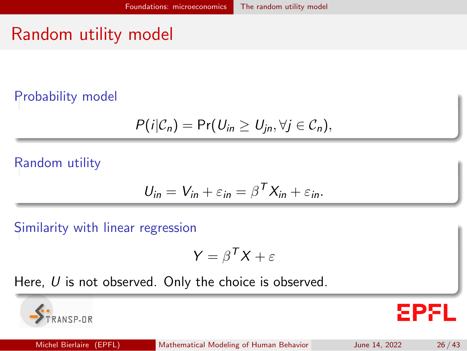# <span id="page-25-0"></span>Random utility model

#### Probability model

$$
P(i|\mathcal{C}_n)=\Pr(U_{in}\geq U_{jn},\forall j\in\mathcal{C}_n),
$$

#### Random utility

$$
U_{in} = V_{in} + \varepsilon_{in} = \beta^T X_{in} + \varepsilon_{in}.
$$

Similarity with linear regression

 $NSP-IR$ 

$$
Y = \beta^T X + \varepsilon
$$

Here,  $U$  is not observed. Only the choice is observed.

**EPFL**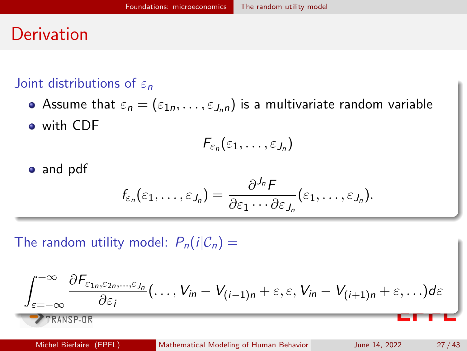### **Derivation**

### Joint distributions of  $\varepsilon_n$

Assume that  $\varepsilon_n = (\varepsilon_{1n}, \ldots, \varepsilon_{J_n n})$  is a multivariate random variable with CDF

$$
F_{\varepsilon_n}(\varepsilon_1,\ldots,\varepsilon_{J_n})
$$

• and pdf

$$
f_{\varepsilon_n}(\varepsilon_1,\ldots,\varepsilon_{J_n})=\frac{\partial^{J_n}F}{\partial\varepsilon_1\cdots\partial\varepsilon_{J_n}}(\varepsilon_1,\ldots,\varepsilon_{J_n}).
$$

The random utility model:  $P_n(i|\mathcal{C}_n)$  =

$$
\frac{\int_{\varepsilon=-\infty}^{+\infty} \frac{\partial F_{\varepsilon_{1n},\varepsilon_{2n},\dots,\varepsilon_{J_n}}}{\partial \varepsilon_i}(\dots,V_{in}-V_{(i-1)n}+\varepsilon,\varepsilon,V_{in}-V_{(i+1)n}+\varepsilon,\dots)d\varepsilon}{\sum_{\text{TRANSP-UR}}
$$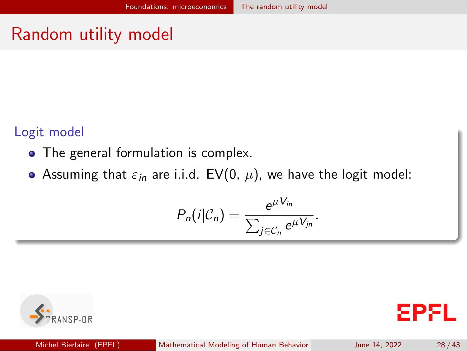### Random utility model

#### Logit model

- The general formulation is complex.
- Assuming that  $\varepsilon_{in}$  are i.i.d. EV(0,  $\mu$ ), we have the logit model:

$$
P_n(i|\mathcal{C}_n)=\frac{e^{\mu V_{in}}}{\sum_{j\in\mathcal{C}_n}e^{\mu V_{jn}}}.
$$

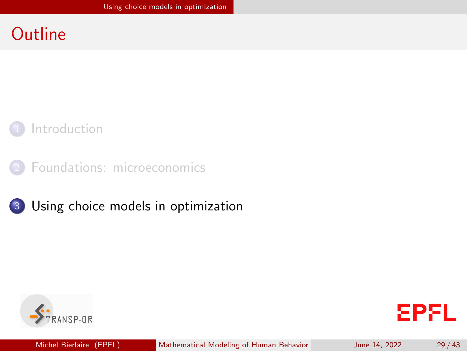### <span id="page-28-0"></span>**Outline**







3 [Using choice models in optimization](#page-28-0)



**EPFL**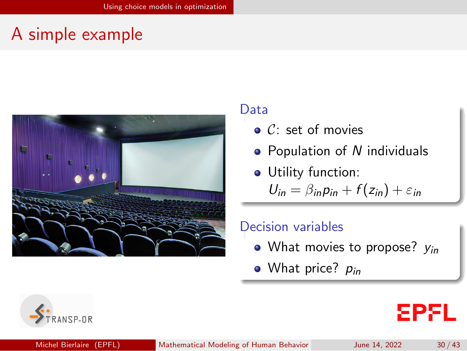### A simple example



#### Data

- $\bullet$  C: set of movies
- Population of N individuals
- Utility function:

 $U_{in} = \beta_{in} p_{in} + f(z_{in}) + \varepsilon_{in}$ 

#### Decision variables

- What movies to propose?  $v_{in}$
- What price?  $p_{in}$



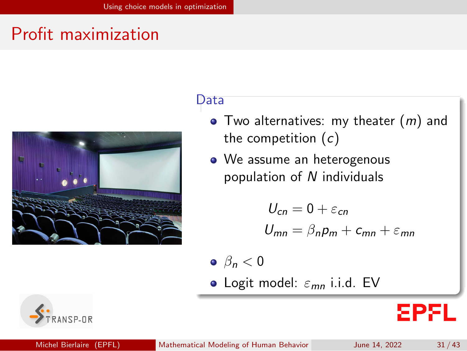# Profit maximization



#### Data

- $\bullet$  Two alternatives: my theater  $(m)$  and the competition  $(c)$
- We assume an heterogenous population of N individuals

$$
U_{cn} = 0 + \varepsilon_{cn}
$$
  

$$
U_{mn} = \beta_n p_m + c_{mn} + \varepsilon_{mn}
$$

- $\theta_n < 0$
- Logit model:  $\varepsilon_{mn}$  i.i.d. EV



EPEL.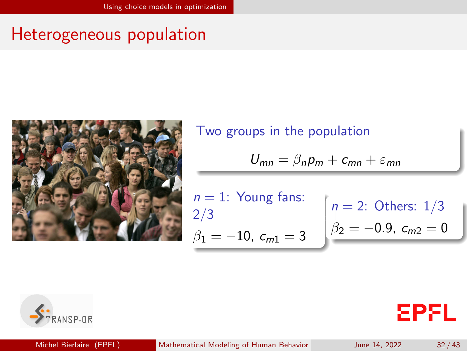### Heterogeneous population



Two groups in the population

$$
U_{mn} = \beta_n p_m + c_{mn} + \varepsilon_{mn}
$$

*n* = 1: Young fans: 
$$
n = 2
$$
: Others:  $1/3$  $\beta_1 = -10$ ,  $c_{m1} = 3$   $\beta_2 = -0.9$ ,  $c_{m2} = 0$ 



**EPFL**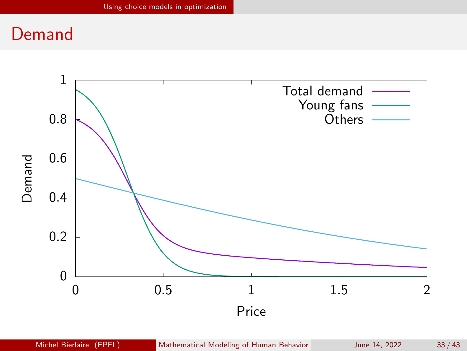### Demand

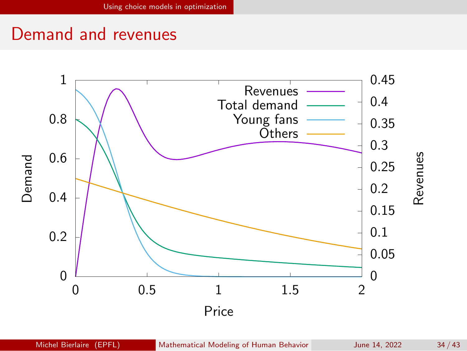### Demand and revenues

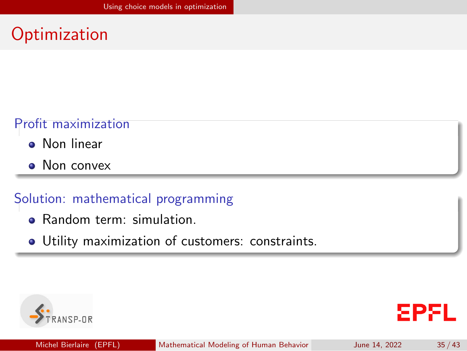# **Optimization**

### Profit maximization

- Non linear
- Non convex

#### Solution: mathematical programming

- Random term: simulation.
- Utility maximization of customers: constraints.

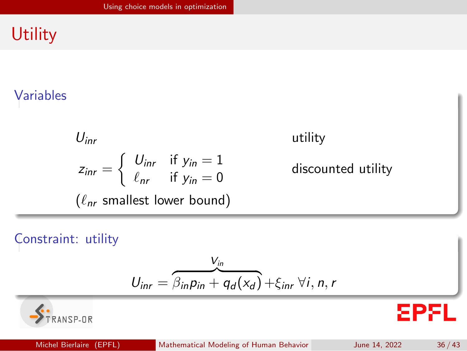# **Utility**

### Variables

$$
U_{inr}
$$
utility  
\n
$$
z_{inr} = \begin{cases} U_{inr} & \text{if } y_{in} = 1 \\ \ell_{nr} & \text{if } y_{in} = 0 \end{cases}
$$
discounted utility  
\n
$$
(\ell_{nr} \text{ smallest lower bound})
$$

#### Constraint: utility

$$
U_{\text{inr}} = \overbrace{\beta_{\text{in}}\rho_{\text{in}} + q_d(x_d)}^{V_{\text{in}}} + \xi_{\text{inr}} \,\forall i, n, r
$$



**EPFL**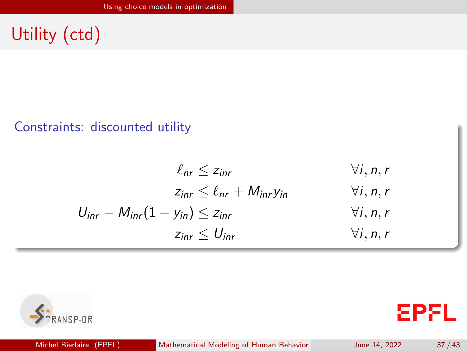# Utility (ctd)

#### Constraints: discounted utility

$$
\ell_{nr} \leq z_{inr} \qquad \forall i, n, r
$$
  
\n
$$
z_{inr} \leq \ell_{nr} + M_{inr}y_{in} \qquad \forall i, n, r
$$
  
\n
$$
U_{inr} - M_{inr}(1 - y_{in}) \leq z_{inr} \qquad \forall i, n, r
$$
  
\n
$$
z_{inr} \leq U_{inr} \qquad \forall i, n, r
$$





**EPFL**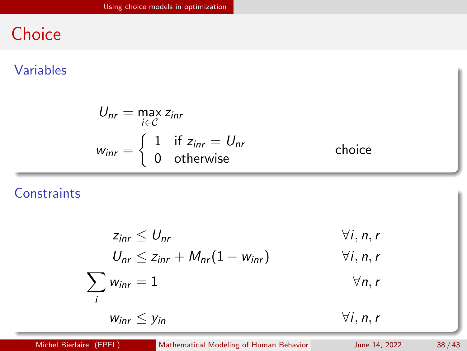# **Choice**

#### Variables

$$
U_{nr} = \max_{i \in \mathcal{C}} z_{inr}
$$
  

$$
w_{inr} = \begin{cases} 1 & \text{if } z_{inr} = U_{nr} \\ 0 & \text{otherwise} \end{cases}
$$
 choice

### **Constraints**

$$
z_{\text{inr}} \leq U_{\text{nr}} \qquad \forall i, n, r
$$
  
\n
$$
U_{\text{nr}} \leq z_{\text{inr}} + M_{\text{nr}}(1 - w_{\text{inr}}) \qquad \forall i, n, r
$$
  
\n
$$
\sum_{i} w_{\text{inr}} = 1 \qquad \forall n, r
$$
  
\n
$$
w_{\text{inr}} \leq y_{\text{in}} \qquad \forall i, n, r
$$

Michel Bierlaire (EPFL) [Mathematical Modeling of Human Behavior](#page-0-0) June 14, 2022 38 / 43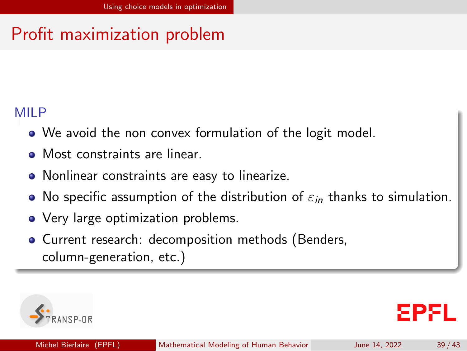# Profit maximization problem

### MIL<sub>P</sub>

- We avoid the non convex formulation of the logit model.
- Most constraints are linear.
- Nonlinear constraints are easy to linearize.
- No specific assumption of the distribution of  $\varepsilon_{in}$  thanks to simulation.
- Very large optimization problems.
- Current research: decomposition methods (Benders, column-generation, etc.)

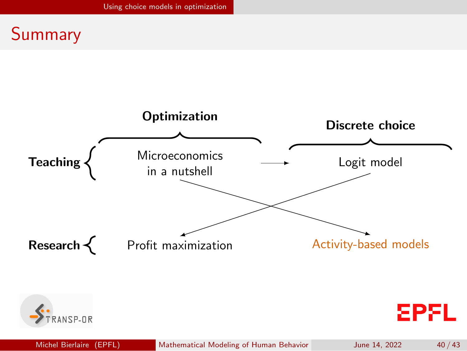### Summary



Michel Bierlaire (EPFL) [Mathematical Modeling of Human Behavior](#page-0-0) June 14, 2022 40 / 43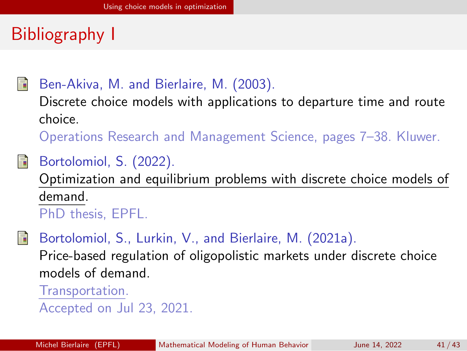# Bibliography I



### Ben-Akiva, M. and Bierlaire, M. (2003).

Discrete choice models with applications to departure time and route choice.

Operations Research and Management Science, pages 7–38. Kluwer.

### Bortolomiol, S. (2022).

Optimization and equilibrium problems with discrete choice models of demand. PhD thesis, EPFL.

Bortolomiol, S., Lurkin, V., and Bierlaire, M. (2021a).

Price-based regulation of oligopolistic markets under discrete choice models of demand.

Transportation. Accepted on Jul 23, 2021.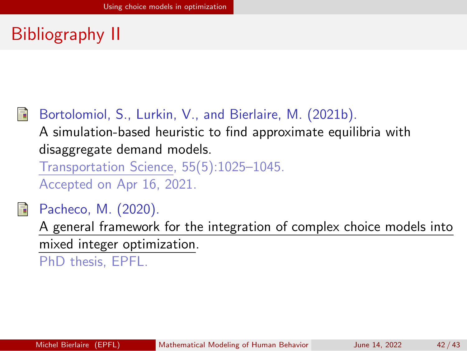# Bibliography II

### Bortolomiol, S., Lurkin, V., and Bierlaire, M. (2021b).

A simulation-based heuristic to find approximate equilibria with disaggregate demand models.

Transportation Science, 55(5):1025–1045. Accepted on Apr 16, 2021.

Pacheco, M. (2020).

A general framework for the integration of complex choice models into mixed integer optimization.

PhD thesis, EPFL.